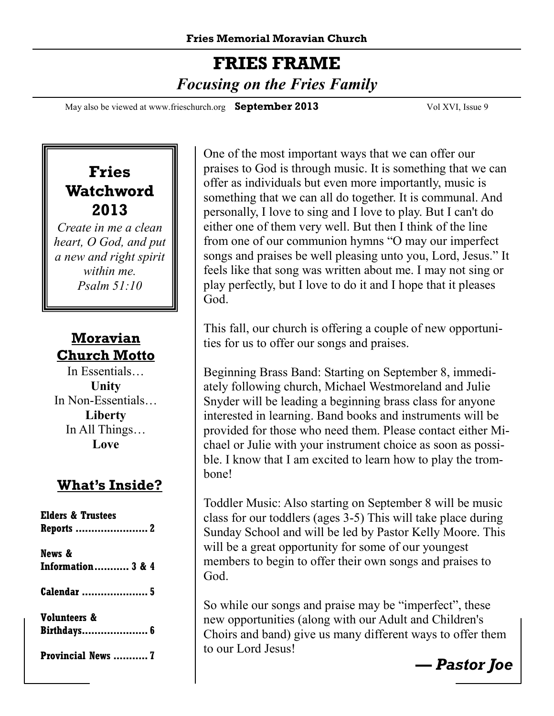## **FRIES FRAME**   *Focusing on the Fries Family*

May also be viewed at www.frieschurch.org **September 2013** Vol XVI, Issue 9

#### **Fries Watchword 2013**

*Create in me a clean heart, O God, and put a new and right spirit within me. Psalm 51:10* 

#### **Moravian Church Motto**

In Essentials… **Unity** In Non-Essentials… **Liberty** In All Things… **Love**

#### **What's Inside?**

| <b>Elders &amp; Trustees</b> |
|------------------------------|
| Reports  2                   |
| News &                       |
|                              |
| <b>Information 3 &amp; 4</b> |
|                              |
| <b>Calendar</b> 5            |
|                              |
|                              |
| <b>Volunteers &amp;</b>      |
| Birthdays 6                  |
|                              |
| Provincial News  7           |
|                              |
|                              |

One of the most important ways that we can offer our praises to God is through music. It is something that we can offer as individuals but even more importantly, music is something that we can all do together. It is communal. And personally, I love to sing and I love to play. But I can't do either one of them very well. But then I think of the line from one of our communion hymns "O may our imperfect songs and praises be well pleasing unto you, Lord, Jesus." It feels like that song was written about me. I may not sing or play perfectly, but I love to do it and I hope that it pleases God.

This fall, our church is offering a couple of new opportunities for us to offer our songs and praises.

Beginning Brass Band: Starting on September 8, immediately following church, Michael Westmoreland and Julie Snyder will be leading a beginning brass class for anyone interested in learning. Band books and instruments will be provided for those who need them. Please contact either Michael or Julie with your instrument choice as soon as possible. I know that I am excited to learn how to play the trombone!

Toddler Music: Also starting on September 8 will be music class for our toddlers (ages 3-5) This will take place during Sunday School and will be led by Pastor Kelly Moore. This will be a great opportunity for some of our youngest members to begin to offer their own songs and praises to God.

So while our songs and praise may be "imperfect", these new opportunities (along with our Adult and Children's Choirs and band) give us many different ways to offer them to our Lord Jesus!

*— Pastor Joe*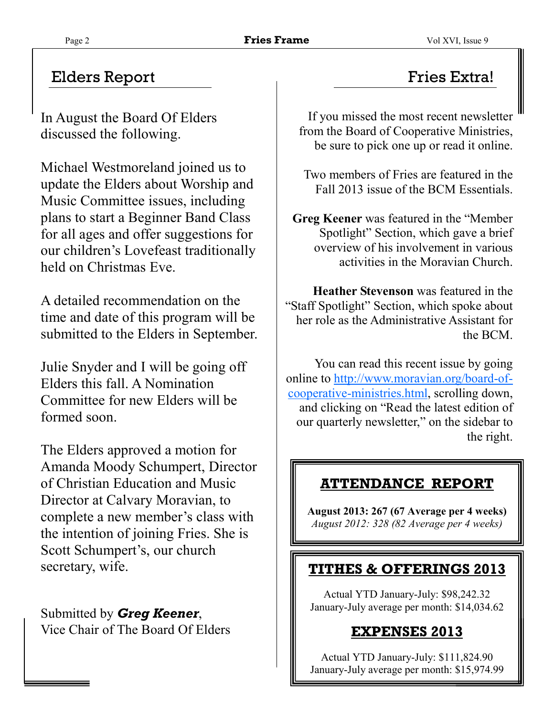#### Elders Report Fries Extra!

In August the Board Of Elders discussed the following.

Michael Westmoreland joined us to update the Elders about Worship and Music Committee issues, including plans to start a Beginner Band Class for all ages and offer suggestions for our children's Lovefeast traditionally held on Christmas Eve.

A detailed recommendation on the time and date of this program will be submitted to the Elders in September.

Julie Snyder and I will be going off Elders this fall. A Nomination Committee for new Elders will be formed soon.

The Elders approved a motion for Amanda Moody Schumpert, Director of Christian Education and Music Director at Calvary Moravian, to complete a new member's class with the intention of joining Fries. She is Scott Schumpert's, our church secretary, wife.

Submitted by *Greg Keener*, Vice Chair of The Board Of Elders

If you missed the most recent newsletter from the Board of Cooperative Ministries, be sure to pick one up or read it online.

Two members of Fries are featured in the Fall 2013 issue of the BCM Essentials.

**Greg Keener** was featured in the "Member Spotlight" Section, which gave a brief overview of his involvement in various activities in the Moravian Church.

**Heather Stevenson** was featured in the "Staff Spotlight" Section, which spoke about her role as the Administrative Assistant for the BCM.

You can read this recent issue by going online to http://www.moravian.org/board-ofcooperative-ministries.html, scrolling down, and clicking on "Read the latest edition of our quarterly newsletter," on the sidebar to the right.

#### **ATTENDANCE REPORT**

**August 2013: 267 (67 Average per 4 weeks)**  *August 2012: 328 (82 Average per 4 weeks)*

#### **TITHES & OFFERINGS 2013**

Actual YTD January-July: \$98,242.32 January-July average per month: \$14,034.62

#### **EXPENSES 2013**

Actual YTD January-July: \$111,824.90 January-July average per month: \$15,974.99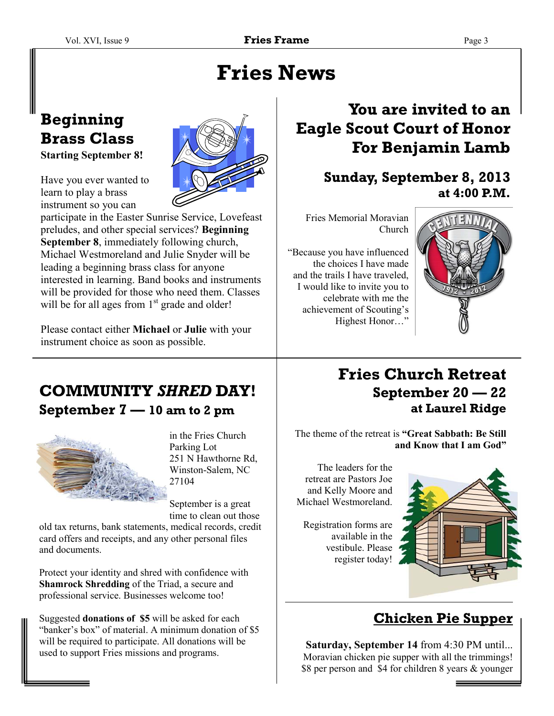# **Fries News**

#### **Beginning Brass Class Starting September 8!**



Have you ever wanted to learn to play a brass instrument so you can

participate in the Easter Sunrise Service, Lovefeast preludes, and other special services? **Beginning September 8**, immediately following church, Michael Westmoreland and Julie Snyder will be leading a beginning brass class for anyone interested in learning. Band books and instruments will be provided for those who need them. Classes will be for all ages from  $1<sup>st</sup>$  grade and older!

Please contact either **Michael** or **Julie** with your instrument choice as soon as possible.

### **You are invited to an Eagle Scout Court of Honor For Benjamin Lamb**

#### **Sunday, September 8, 2013 at 4:00 P.M.**

Fries Memorial Moravian Church

"Because you have influenced the choices I have made and the trails I have traveled, I would like to invite you to celebrate with me the achievement of Scouting's Highest Honor…"



#### **COMMUNITY** *SHRED* **DAY! September 7 — 10 am to 2 pm**



in the Fries Church Parking Lot 251 N Hawthorne Rd, Winston-Salem, NC 27104

September is a great time to clean out those

old tax returns, bank statements, medical records, credit card offers and receipts, and any other personal files and documents.

Protect your identity and shred with confidence with **Shamrock Shredding** of the Triad, a secure and professional service. Businesses welcome too!

Suggested **donations of \$5** will be asked for each "banker's box" of material. A minimum donation of \$5 will be required to participate. All donations will be used to support Fries missions and programs.

#### **Fries Church Retreat September 20 — 22 at Laurel Ridge**

The theme of the retreat is **"Great Sabbath: Be Still and Know that I am God"** 

The leaders for the retreat are Pastors Joe and Kelly Moore and Michael Westmoreland.

Registration forms are available in the vestibule. Please register today!



#### **Chicken Pie Supper**

**Saturday, September 14** from 4:30 PM until... Moravian chicken pie supper with all the trimmings! \$8 per person and \$4 for children 8 years & younger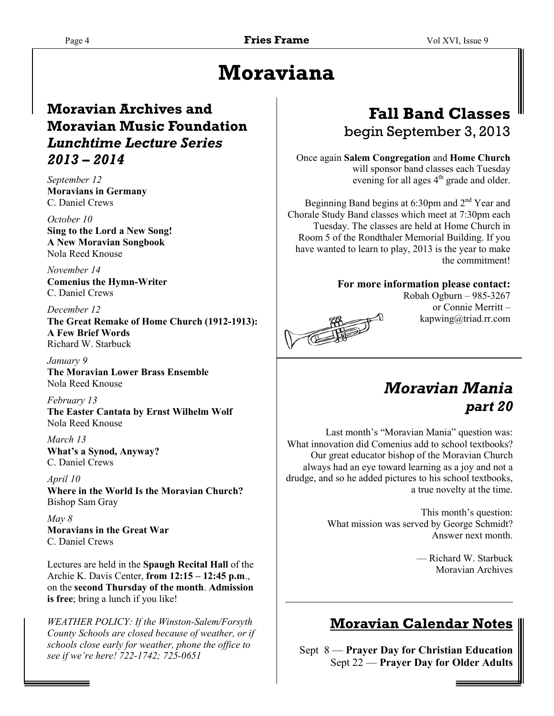# **Moraviana**

#### **Moravian Archives and Moravian Music Foundation**  *Lunchtime Lecture Series 2013 – 2014*

*September 12*  **Moravians in Germany**  C. Daniel Crews

*October 10*  **Sing to the Lord a New Song! A New Moravian Songbook**  Nola Reed Knouse

*November 14*  **Comenius the Hymn-Writer**  C. Daniel Crews

*December 12* 

**The Great Remake of Home Church (1912-1913): A Few Brief Words**  Richard W. Starbuck

*January 9*  **The Moravian Lower Brass Ensemble**  Nola Reed Knouse

*February 13*  **The Easter Cantata by Ernst Wilhelm Wolf**  Nola Reed Knouse

*March 13*  **What's a Synod, Anyway?**  C. Daniel Crews

*April 10*  **Where in the World Is the Moravian Church?**  Bishop Sam Gray

*May 8*  **Moravians in the Great War**  C. Daniel Crews

Lectures are held in the **Spaugh Recital Hall** of the Archie K. Davis Center, **from 12:15 – 12:45 p.m**., on the **second Thursday of the month**. **Admission is free**; bring a lunch if you like!

*WEATHER POLICY: If the Winston-Salem/Forsyth County Schools are closed because of weather, or if schools close early for weather, phone the office to see if we're here! 722-1742; 725-0651* 

#### **Fall Band Classes**  begin September 3, 2013

Once again **Salem Congregation** and **Home Church**  will sponsor band classes each Tuesday evening for all ages  $4<sup>th</sup>$  grade and older.

Beginning Band begins at  $6:30$ pm and  $2<sup>nd</sup>$  Year and Chorale Study Band classes which meet at 7:30pm each Tuesday. The classes are held at Home Church in Room 5 of the Rondthaler Memorial Building. If you have wanted to learn to play, 2013 is the year to make the commitment!

**For more information please contact:** 



Robah Ogburn – 985-3267 or Connie Merritt – kapwing@triad.rr.com

#### *Moravian Mania part 20*

 Last month's "Moravian Mania" question was: What innovation did Comenius add to school textbooks? Our great educator bishop of the Moravian Church always had an eye toward learning as a joy and not a drudge, and so he added pictures to his school textbooks, a true novelty at the time.

> This month's question: What mission was served by George Schmidt? Answer next month.

> > — Richard W. Starbuck Moravian Archives

#### **Moravian Calendar Notes**

Sept 8 — **Prayer Day for Christian Education** Sept 22 — **Prayer Day for Older Adults**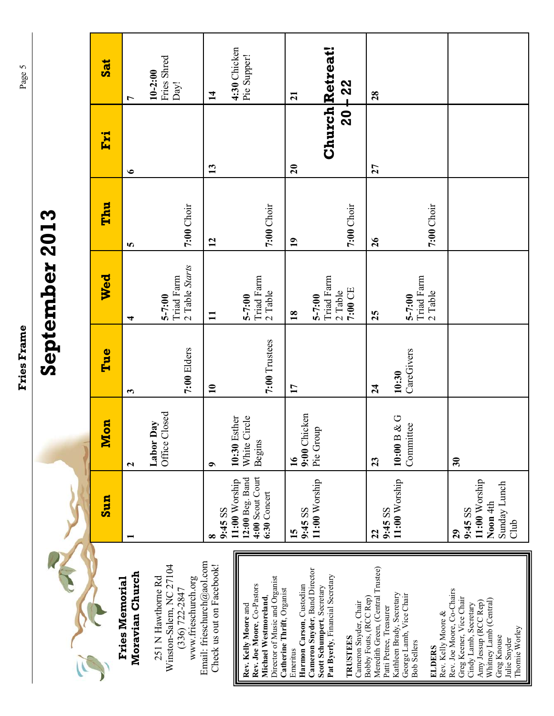| l      |
|--------|
| ſ<br>l |
|        |
|        |
|        |
|        |
|        |
|        |
|        |
|        |
|        |
|        |
|        |
|        |
|        |
|        |
|        |
|        |
|        |
|        |
|        |
|        |
|        |
|        |
|        |
|        |
|        |
|        |
|        |
| Í      |
| ĺ<br>í |
|        |
| ֠      |

# **September 2013**  September 2013

| $\overline{\text{ad}}$ | L                                                                                                                                                                                               | Fries Shred<br>$10 - 2:00$<br>Day!         | 4:30 Chicken<br>$\mathbf{14}$ | Pie Supper!                                                                                                                                 | $\overline{21}$                      | <b>Church Retreat!</b><br>$20 + 22$                                                                                                        | 28                                                          |                                                                                                                                              |                                                                                                                                                                                  |
|------------------------|-------------------------------------------------------------------------------------------------------------------------------------------------------------------------------------------------|--------------------------------------------|-------------------------------|---------------------------------------------------------------------------------------------------------------------------------------------|--------------------------------------|--------------------------------------------------------------------------------------------------------------------------------------------|-------------------------------------------------------------|----------------------------------------------------------------------------------------------------------------------------------------------|----------------------------------------------------------------------------------------------------------------------------------------------------------------------------------|
| Fri                    | $\bullet$                                                                                                                                                                                       |                                            | 13                            |                                                                                                                                             | $\overline{20}$                      |                                                                                                                                            | 27                                                          |                                                                                                                                              |                                                                                                                                                                                  |
| Thu                    | <b>S</b>                                                                                                                                                                                        | 7:00 Choir                                 | $\overline{12}$               | 7:00 Choir                                                                                                                                  | $\overline{1}$                       | 7:00 Choir                                                                                                                                 | $\overline{26}$                                             | 7:00 Choir                                                                                                                                   |                                                                                                                                                                                  |
| Wed                    | 4                                                                                                                                                                                               | 2 Table Starts<br>Triad Farm<br>$5 - 7:00$ | $\mathbf{I}$                  | Triad Farm<br>$2$ Table<br>$5 - 7:00$                                                                                                       | $\overline{18}$                      | Triad Farm<br>7:00 CE<br>$2$ Table<br>$5 - 7:00$                                                                                           | 25                                                          | Triad Farm<br>2 Table<br>$5 - 7:00$                                                                                                          |                                                                                                                                                                                  |
| Tue                    | $\mathbf{c}$                                                                                                                                                                                    | 7:00 Elders                                | $\mathbf{10}$                 | 7:00 Trustees                                                                                                                               | $\mathbf{1}$                         |                                                                                                                                            | $\overline{24}$                                             | CareGivers<br>10:30                                                                                                                          |                                                                                                                                                                                  |
| Mon                    | $\mathbf{\Omega}$                                                                                                                                                                               | Office Closed<br>Labor Day                 | $\bullet$                     | 10:30 Esther<br>White Circle<br>Begins                                                                                                      | $\overline{16}$                      | Chicken<br>Pie Group<br>9:00                                                                                                               | 23                                                          | 10:00 B & G<br>Committee                                                                                                                     | $\overline{\mathbf{30}}$                                                                                                                                                         |
| <b>Sun</b>             |                                                                                                                                                                                                 |                                            | 9:45 SS<br>œ                  | 4:00 Scout Court<br>12:00 Beg. Band<br>11:00 Worship<br>6:30 Concert                                                                        | 15                                   | 11:00 Worship<br>9:45 SS                                                                                                                   | 22                                                          | 11:00 Worship<br>9:45 SS                                                                                                                     | 11:00 Worship<br>Sunday Lunch<br>Noon 4th<br>9:45 SS<br>Club<br>29                                                                                                               |
|                        | Email: frieschurch@aol.com<br>Winston-Salem, NC 27104<br>Check us out on Facebook!<br>Moravian Church<br>251 N Hawthorne Rd<br>www.frieschurch.org<br><b>Fries Memorial</b><br>$(336)$ 722-2847 |                                            |                               | Director of Music and Organist<br>Rev. Joe Moore, Co-Pastors<br>Catherine Thrift, Organist<br>Michael Westmoreland,<br>Rev. Kelly Moore and | Harmon Carson, Custodian<br>Emeritus | Cameron Snyder, Band Director<br>Pat Byerly, Financial Secretary<br>Scott Schumpert, Secretary<br>Cameron Snyder, Chair<br><b>TRUSTEES</b> | Meredith Green, (Central Trustee)<br>Bobby Fouts, (RCC Rep) | Kathleen Brady, Secretary<br>George Lamb, Vice Chair<br>Patti Petree, Treasurer<br>Rev. Kelly Moore &<br><b>Bob Sellers</b><br><b>ELDERS</b> | Rev. Joe Moore, Co-Chairs<br>Greg Keener, Vice Chair<br>Whitney Lamb (Central)<br>Amy Jessup (RCC Rep)<br>Cindy Lamb, Secretary<br>Thornie Worley<br>Greg Knouse<br>Julie Snyder |

Page 5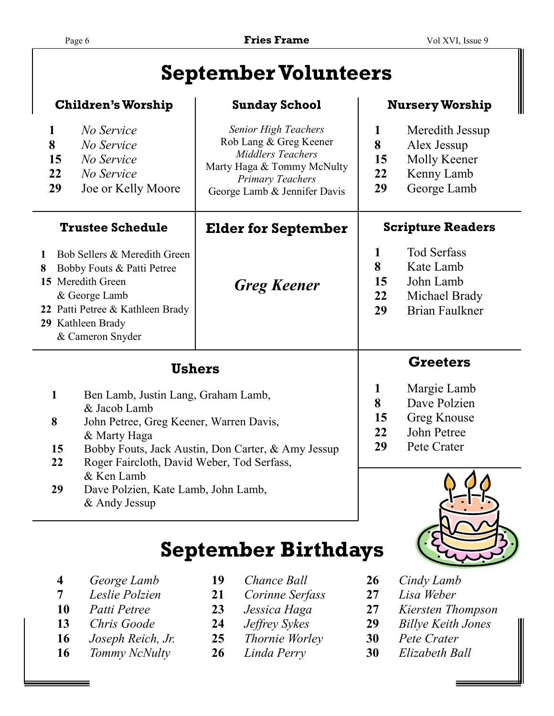# **September Volunteers**

|                                     | <b>Children's Worship</b>                                                                                                                                                                                          | <b>Sunday School</b>                                                                                                                                                       | <b>Nursery Worship</b>                                                   |                                                                                        |  |
|-------------------------------------|--------------------------------------------------------------------------------------------------------------------------------------------------------------------------------------------------------------------|----------------------------------------------------------------------------------------------------------------------------------------------------------------------------|--------------------------------------------------------------------------|----------------------------------------------------------------------------------------|--|
| $\mathbf{1}$<br>8<br>15<br>22<br>29 | No Service<br>No Service<br>No Service<br>No Service<br>Joe or Kelly Moore                                                                                                                                         | <b>Senior High Teachers</b><br>Rob Lang & Greg Keener<br><b>Middlers Teachers</b><br>Marty Haga & Tommy McNulty<br><b>Primary Teachers</b><br>George Lamb & Jennifer Davis | 1<br>8<br>15<br>22<br>29                                                 | Meredith Jessup<br>Alex Jessup<br>Molly Keener<br>Kenny Lamb<br>George Lamb            |  |
|                                     | <b>Trustee Schedule</b>                                                                                                                                                                                            | <b>Scripture Readers</b>                                                                                                                                                   |                                                                          |                                                                                        |  |
| 1<br>8                              | Bob Sellers & Meredith Green<br>Bobby Fouts & Patti Petree<br>15 Meredith Green<br>& George Lamb<br>22 Patti Petree & Kathleen Brady<br>29 Kathleen Brady<br>& Cameron Snyder                                      | <b>Greg Keener</b>                                                                                                                                                         | 1<br>8<br>15<br>22<br>29                                                 | <b>Tod Serfass</b><br>Kate Lamb<br>John Lamb<br>Michael Brady<br><b>Brian Faulkner</b> |  |
|                                     | <b>Ushers</b>                                                                                                                                                                                                      |                                                                                                                                                                            | <b>Greeters</b>                                                          |                                                                                        |  |
| 1<br>8<br>15<br>22                  | Ben Lamb, Justin Lang, Graham Lamb,<br>& Jacob Lamb<br>John Petree, Greg Keener, Warren Davis,<br>& Marty Haga<br>Bobby Fouts, Jack Austin, Don Carter, & Amy Jessup<br>Roger Faircloth, David Weber, Tod Serfass, | 1<br>8<br>15<br>22<br>29                                                                                                                                                   | Margie Lamb<br>Dave Polzien<br>Greg Knouse<br>John Petree<br>Pete Crater |                                                                                        |  |



 **29** Dave Polzien, Kate Lamb, John Lamb, & Andy Jessup

# **September Birthdays**

- **4** *George Lamb* **19** *Chance Ball* **26** *Cindy Lamb*
- 
- 
- 
- 
- **16** *Tommy NcNulty* **26** *Linda Perry* **30** *Elizabeth Ball*
- 
- **7** *Leslie Polzien* **21** *Corinne Serfass* **27** *Lisa Weber*
	-
	-
- **16** *Joseph Reich, Jr.* **25** *Thornie Worley* **30** *Pete Crater* 
	-
- 
- 
- **10** *Patti Petree* **23** *Jessica Haga* **27** *Kiersten Thompson*
- **13** *Chris Goode* **24** *Jeffrey Sykes* **29** *Billye Keith Jones* 
	-
	-

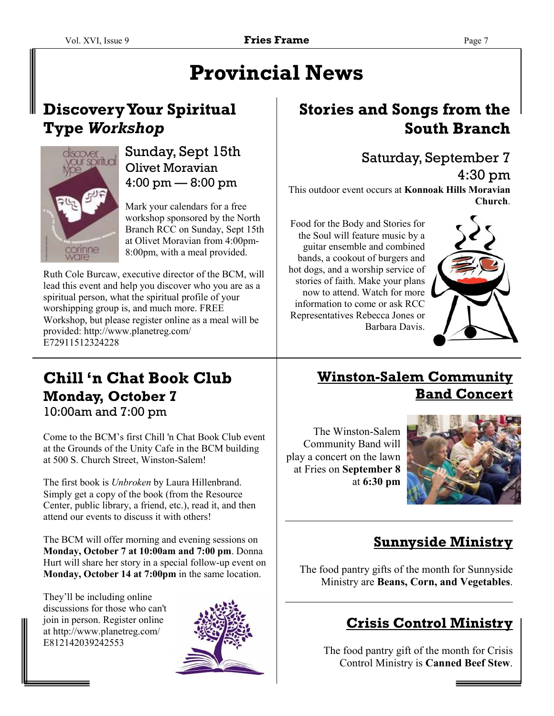# **Provincial News**

#### **Discovery Your Spiritual Type** *Workshop*



#### Sunday, Sept 15th Olivet Moravian 4:00 pm — 8:00 pm

Mark your calendars for a free workshop sponsored by the North Branch RCC on Sunday, Sept 15th at Olivet Moravian from 4:00pm-8:00pm, with a meal provided.

Ruth Cole Burcaw, executive director of the BCM, will lead this event and help you discover who you are as a spiritual person, what the spiritual profile of your worshipping group is, and much more. FREE Workshop, but please register online as a meal will be provided: http://www.planetreg.com/ E72911512324228

# **Chill 'n Chat Book Club Monday, October 7**

10:00am and 7:00 pm

Come to the BCM's first Chill 'n Chat Book Club event at the Grounds of the Unity Cafe in the BCM building at 500 S. Church Street, Winston-Salem!

The first book is *Unbroken* by Laura Hillenbrand. Simply get a copy of the book (from the Resource Center, public library, a friend, etc.), read it, and then attend our events to discuss it with others!

The BCM will offer morning and evening sessions on **Monday, October 7 at 10:00am and 7:00 pm**. Donna Hurt will share her story in a special follow-up event on **Monday, October 14 at 7:00pm** in the same location.

They'll be including online discussions for those who can't join in person. Register online at http://www.planetreg.com/ E812142039242553



#### **Stories and Songs from the South Branch**

#### Saturday, September 7

4:30 pm This outdoor event occurs at **Konnoak Hills Moravian Church**.

Food for the Body and Stories for the Soul will feature music by a guitar ensemble and combined bands, a cookout of burgers and hot dogs, and a worship service of stories of faith. Make your plans now to attend. Watch for more information to come or ask RCC Representatives Rebecca Jones or Barbara Davis.



#### **Winston-Salem Community Band Concert**

The Winston-Salem Community Band will play a concert on the lawn at Fries on **September 8**  at **6:30 pm**



#### **Sunnyside Ministry**

The food pantry gifts of the month for Sunnyside Ministry are **Beans, Corn, and Vegetables**.

#### **Crisis Control Ministry**

The food pantry gift of the month for Crisis Control Ministry is **Canned Beef Stew**.